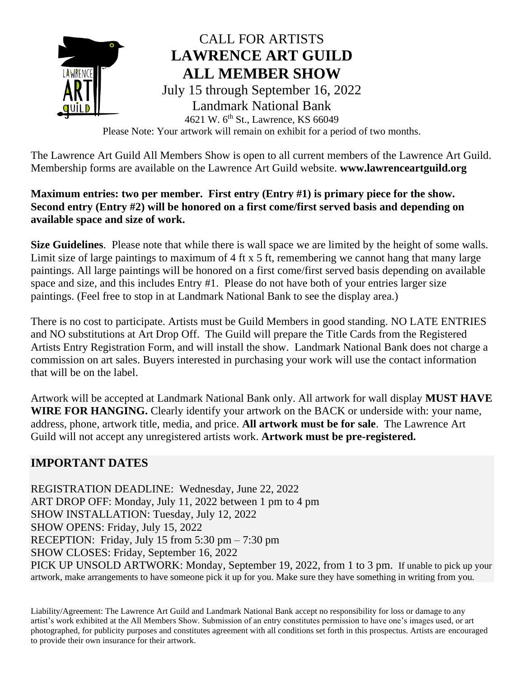

Please Note: Your artwork will remain on exhibit for a period of two months.

The Lawrence Art Guild All Members Show is open to all current members of the Lawrence Art Guild. Membership forms are available on the Lawrence Art Guild website. **www.lawrenceartguild.org**

## **Maximum entries: two per member. First entry (Entry #1) is primary piece for the show. Second entry (Entry #2) will be honored on a first come/first served basis and depending on available space and size of work.**

**Size Guidelines**. Please note that while there is wall space we are limited by the height of some walls. Limit size of large paintings to maximum of 4 ft x 5 ft, remembering we cannot hang that many large paintings. All large paintings will be honored on a first come/first served basis depending on available space and size, and this includes Entry #1. Please do not have both of your entries larger size paintings. (Feel free to stop in at Landmark National Bank to see the display area.)

There is no cost to participate. Artists must be Guild Members in good standing. NO LATE ENTRIES and NO substitutions at Art Drop Off. The Guild will prepare the Title Cards from the Registered Artists Entry Registration Form, and will install the show. Landmark National Bank does not charge a commission on art sales. Buyers interested in purchasing your work will use the contact information that will be on the label.

Artwork will be accepted at Landmark National Bank only. All artwork for wall display **MUST HAVE WIRE FOR HANGING.** Clearly identify your artwork on the BACK or underside with: your name, address, phone, artwork title, media, and price. **All artwork must be for sale**. The Lawrence Art Guild will not accept any unregistered artists work. **Artwork must be pre-registered.** 

# **IMPORTANT DATES**

REGISTRATION DEADLINE: Wednesday, June 22, 2022 ART DROP OFF: Monday, July 11, 2022 between 1 pm to 4 pm SHOW INSTALLATION: Tuesday, July 12, 2022 SHOW OPENS: Friday, July 15, 2022 RECEPTION: Friday, July 15 from 5:30 pm – 7:30 pm SHOW CLOSES: Friday, September 16, 2022 PICK UP UNSOLD ARTWORK: Monday, September 19, 2022, from 1 to 3 pm. If unable to pick up your artwork, make arrangements to have someone pick it up for you. Make sure they have something in writing from you.

Liability/Agreement: The Lawrence Art Guild and Landmark National Bank accept no responsibility for loss or damage to any artist's work exhibited at the All Members Show. Submission of an entry constitutes permission to have one's images used, or art photographed, for publicity purposes and constitutes agreement with all conditions set forth in this prospectus. Artists are encouraged to provide their own insurance for their artwork.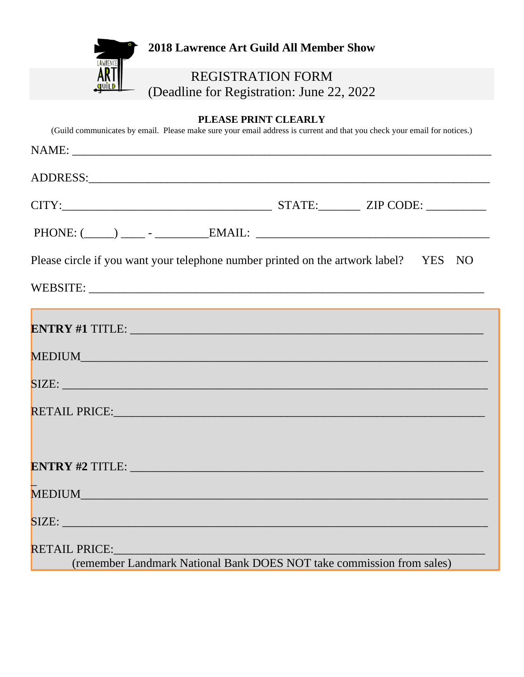

## **PLEASE PRINT CLEARLY**

(Guild communicates by email. Please make sure your email address is current and that you check your email for notices.)

| $PHONE: (\_\_) \_\_ -$ - $\_\_$ EMAIL: $\_\_$                                          |  |  |  |
|----------------------------------------------------------------------------------------|--|--|--|
| Please circle if you want your telephone number printed on the artwork label? YES NO   |  |  |  |
|                                                                                        |  |  |  |
|                                                                                        |  |  |  |
|                                                                                        |  |  |  |
| SIZE: SIZE:                                                                            |  |  |  |
|                                                                                        |  |  |  |
|                                                                                        |  |  |  |
|                                                                                        |  |  |  |
|                                                                                        |  |  |  |
| SIZE:                                                                                  |  |  |  |
| RETAIL PRICE:<br>(remember Landmark National Bank DOES NOT take commission from sales) |  |  |  |